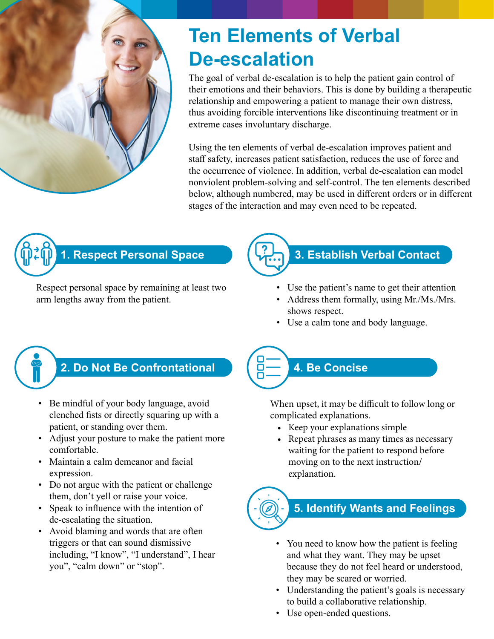

# **Ten Elements of Verbal De-escalation**

The goal of verbal de-escalation is to help the patient gain control of their emotions and their behaviors. This is done by building a therapeutic relationship and empowering a patient to manage their own distress, thus avoiding forcible interventions like discontinuing treatment or in extreme cases involuntary discharge.

Using the ten elements of verbal de-escalation improves patient and staff safety, increases patient satisfaction, reduces the use of force and the occurrence of violence. In addition, verbal de-escalation can model nonviolent problem-solving and self-control. The ten elements described below, although numbered, may be used in different orders or in different stages of the interaction and may even need to be repeated.



Respect personal space by remaining at least two arm lengths away from the patient.



- Use the patient's name to get their attention
- Address them formally, using Mr./Ms./Mrs. shows respect.
- Use a calm tone and body language.

### **2. Do Not Be Confrontational**

- Be mindful of your body language, avoid clenched fists or directly squaring up with a patient, or standing over them.
- Adjust your posture to make the patient more comfortable.
- Maintain a calm demeanor and facial expression.
- Do not argue with the patient or challenge them, don't yell or raise your voice.
- Speak to influence with the intention of de-escalating the situation.
- Avoid blaming and words that are often triggers or that can sound dismissive including, "I know", "I understand", I hear you", "calm down" or "stop".

# **4. Be Concise**

8:

When upset, it may be difficult to follow long or complicated explanations.

- Keep your explanations simple
- Repeat phrases as many times as necessary waiting for the patient to respond before moving on to the next instruction/ explanation.

# **5. Identify Wants and Feelings**

- You need to know how the patient is feeling and what they want. They may be upset because they do not feel heard or understood, they may be scared or worried.
- Understanding the patient's goals is necessary to build a collaborative relationship.
- Use open-ended questions.